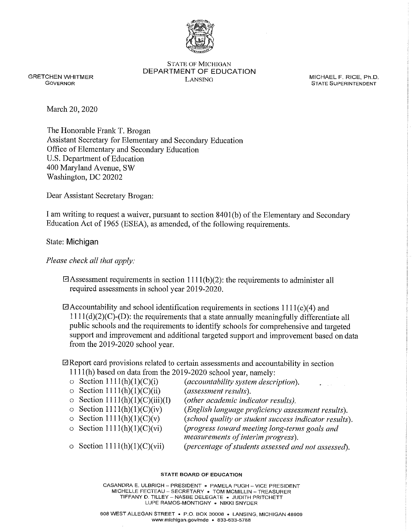

STATE OF MICHIGAN DEPARTMENT OF EDUCATION GRETCHEN WHITMER **GRETCHEN WHITMER SECTREM MICHAEL F. RICE, Ph.D.** LANSING **MICHAEL F. RICE, Ph.D.** COVERING **MICHAEL F. RICE, Ph.D.** 

**STATE SUPERINTENDENT** 

March 20, 2020

The Honorable Frank T. Brogan Assistant Secretary for Elementary and Secondary Education Office of Elementary and Secondary Education U.S. Department of Education 400 Maryland Avenue, SW Washington, DC 20202

Dear Assistant Secretary Brogan:

I am writing to request a waiver, pursuant to section 8401 (b) of the Elementary and Secondary Education Act of 1965 (ESEA), as amended, of the following requirements.

State: Michigan

*Please check all that apply:* 

GAssessment requirements in section l l **l** l(b)(2): the requirements to administer all required assessments in school year 2019-2020.

 $\Box$  Accountability and school identification requirements in sections 1111(c)(4) and  $1111(d)(2)(C)$ -(D): the requirements that a state annually meaningfully differentiate all public schools and the requirements to identify schools for comprehensive and targeted support and improvement and additional targeted support and improvement based on data from the 2019-2020 school year.

## $\Box$  Report card provisions related to certain assessments and accountability in section

 $1111(h)$  based on data from the 2019-2020 school year, namely:

| $\circ$ Section 1111(h)(1)(C)(i)      | (accountability system description).<br>with a strategic con-                       |
|---------------------------------------|-------------------------------------------------------------------------------------|
| $\circ$ Section 1111(h)(1)(C)(ii)     | (assessment results).                                                               |
| $\circ$ Section 1111(h)(1)(C)(iii)(I) | (other academic indicator results).                                                 |
| $\circ$ Section 1111(h)(1)(C)(iv)     | (English language proficiency assessment results).                                  |
| $\circ$ Section 1111(h)(1)(C)(v)      | (school quality or student success indicator results).                              |
| $\circ$ Section 1111(h)(1)(C)(vi)     | (progress toward meeting long-terms goals and<br>measurements of interim progress). |
| o Section $1111(h)(1)(C)(vii)$        | (percentage of students assessed and not assessed).                                 |

## **STATE BOARD OF EDUCATION**

**CASANDRA E. ULBRICH - PRESIDENT • PAMELA PUGH - VICE PRESIDENT MICHELLE FECTEAU - SECRETARY • TOM MCMILLIN - TREASURER TIFFANY D. TILLEY - NASBE DELEGATE • JUDITH PRITCHETT LUPE RAMOS-MONTIGNY • NIKKI SNYDER**